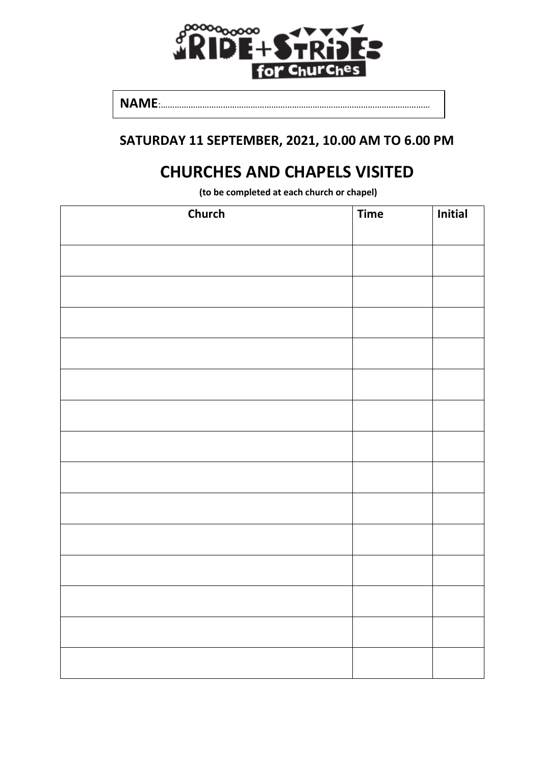

**NAME**:………………………………………………………………………………………………………

## **SATURDAY 11 SEPTEMBER, 2021, 10.00 AM TO 6.00 PM**

## **CHURCHES AND CHAPELS VISITED**

**(to be completed at each church or chapel)**

| <b>Church</b> | <b>Time</b> | Initial |
|---------------|-------------|---------|
|               |             |         |
|               |             |         |
|               |             |         |
|               |             |         |
|               |             |         |
|               |             |         |
|               |             |         |
|               |             |         |
|               |             |         |
|               |             |         |
|               |             |         |
|               |             |         |
|               |             |         |
|               |             |         |
|               |             |         |